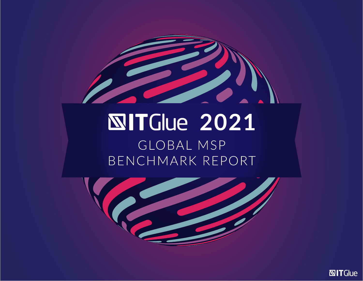

# **NITGlue 2021** GLOBAL MSP BENCHMARK REPORT



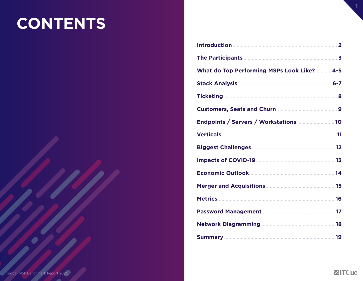#### **CONTENTS**

| <b>Introduction 22 Production 22 Production 22 Production 22 Production 22 Production 22 Production 22 Production 2</b> |  |
|-------------------------------------------------------------------------------------------------------------------------|--|
|                                                                                                                         |  |
| What do Top Performing MSPs Look Like? 4-5                                                                              |  |
|                                                                                                                         |  |
|                                                                                                                         |  |
|                                                                                                                         |  |
| Endpoints / Servers / Workstations  10                                                                                  |  |
|                                                                                                                         |  |
|                                                                                                                         |  |
|                                                                                                                         |  |
|                                                                                                                         |  |
|                                                                                                                         |  |
|                                                                                                                         |  |
|                                                                                                                         |  |
|                                                                                                                         |  |
|                                                                                                                         |  |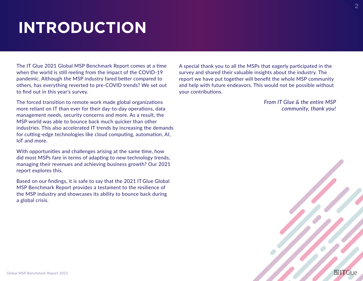# **INTRODUCTION**

The IT Glue 2021 Global MSP Benchmark Report comes at a time when the world is still reeling from the impact of the COVID-19 pandemic. Although the MSP industry fared better compared to others, has everything reverted to pre-COVID trends? We set out to find out in this year's survey.

The forced transition to remote work made global organizations more reliant on IT than ever for their day-to-day operations, data management needs, security concerns and more. As a result, the MSP world was able to bounce back much quicker than other industries. This also accelerated IT trends by increasing the demands for cutting-edge technologies like cloud computing, automation, AI, IoT and more.

With opportunities and challenges arising at the same time, how did most MSPs fare in terms of adapting to new technology trends, managing their revenues and achieving business growth? Our 2021 report explores this.

Based on our findings, it is safe to say that the 2021 IT Glue Global MSP Benchmark Report provides a testament to the resilience of the MSP industry and showcases its ability to bounce back during a global crisis.

A special thank you to all the MSPs that eagerly participated in the survey and shared their valuable insights about the industry. The report we have put together will benefit the whole MSP community and help with future endeavors. This would not be possible without your contributions.

> *From IT Glue & the entire MSP community, thank you!*

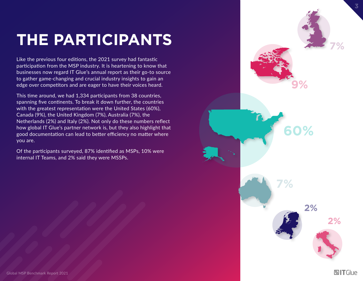# **THE PARTICIPANTS**

Like the previous four editions, the 2021 survey had fantastic participation from the MSP industry. It is heartening to know that businesses now regard IT Glue's annual report as their go-to source to gather game-changing and crucial industry insights to gain an edge over competitors and are eager to have their voices heard.

This time around, we had 1,334 participants from 38 countries, spanning five continents. To break it down further, the countries with the greatest representation were the United States (60%), Canada (9%), the United Kingdom (7%), Australia (7%), the Netherlands (2%) and Italy (2%). Not only do these numbers reflect how global IT Glue's partner network is, but they also highlight that good documentation can lead to better efficiency no matter where you are.

Of the participants surveyed, 87% identified as MSPs, 10% were internal IT Teams, and 2% said they were MSSPs.

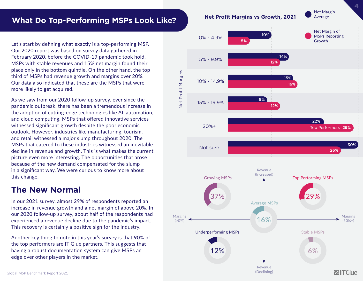#### **What Do Top-Performing MSPs Look Like?**

Let's start by defining what exactly is a top-performing MSP. Our 2020 report was based on survey data gathered in February 2020, before the COVID-19 pandemic took hold. MSPs with stable revenues and 15% net margin found their place only in the bottom quintile. On the other hand, the top third of MSPs had revenue growth and margins over 20%. Our data also indicated that these are the MSPs that were more likely to get acquired.

As we saw from our 2020 follow-up survey, ever since the pandemic outbreak, there has been a tremendous increase in the adoption of cutting-edge technologies like AI, automation, and cloud computing. MSPs that offered innovative services witnessed significant growth despite the poor economic outlook. However, industries like manufacturing, tourism, and retail witnessed a major slump throughout 2020. The MSPs that catered to these industries witnessed an inevitable decline in revenue and growth. This is what makes the current picture even more interesting. The opportunities that arose because of the new demand compensated for the slump in a significant way. We were curious to know more about this change.

#### **The New Normal**

In our 2021 survey, almost 29% of respondents reported an increase in revenue growth and a net margin of above 20%. In our 2020 follow-up survey, about half of the respondents had experienced a revenue decline due to the pandemic's impact. This recovery is certainly a positive sign for the industry.

Another key thing to note in this year's survey is that 90% of the top performers are IT Glue partners. This suggests that having a robust documentation system can give MSPs an edge over other players in the market.



Net Profit Margins

**Net Profit Margins** 



Revenue (Declining)

**NITGlue**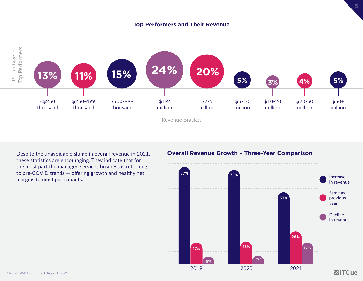#### **Top Performers and Their Revenue**



Despite the unavoidable slump in overall revenue in 2021, these statistics are encouraging. They indicate that for the most part the managed services business is returning to pre-COVID trends — offering growth and healthy net margins to most participants.

#### **Overall Revenue Growth – Three-Year Comparison**

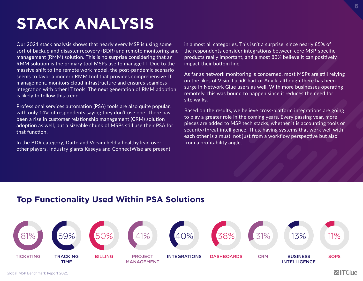### **STACK ANALYSIS**

Our 2021 stack analysis shows that nearly every MSP is using some sort of backup and disaster recovery (BDR) and remote monitoring and management (RMM) solution. This is no surprise considering that an RMM solution is the primary tool MSPs use to manage IT. Due to the massive shift to the remote work model, the post-pandemic scenario seems to favor a modern RMM tool that provides comprehensive IT management, monitors cloud infrastructure and ensures seamless integration with other IT tools. The next generation of RMM adoption is likely to follow this trend.

Professional services automation (PSA) tools are also quite popular, with only 14% of respondents saying they don't use one. There has been a rise in customer relationship management (CRM) solution adoption as well, but a sizeable chunk of MSPs still use their PSA for that function.

In the BDR category, Datto and Veeam held a healthy lead over other players. Industry giants Kaseya and ConnectWise are present in almost all categories. This isn't a surprise, since nearly 85% of the respondents consider integrations between core MSP-specific products really important, and almost 82% believe it can positively impact their bottom line.

As far as network monitoring is concerned, most MSPs are still relying on the likes of Visio, LucidChart or Auvik, although there has been surge in Network Glue users as well. With more businesses operating remotely, this was bound to happen since it reduces the need for site walks.

Based on the results, we believe cross-platform integrations are going to play a greater role in the coming years. Every passing year, more pieces are added to MSP tech stacks, whether it is accounting tools or security/threat intelligence. Thus, having systems that work well with each other is a must, not just from a workflow perspective but also from a profitability angle.

#### **Top Functionality Used Within PSA Solutions**

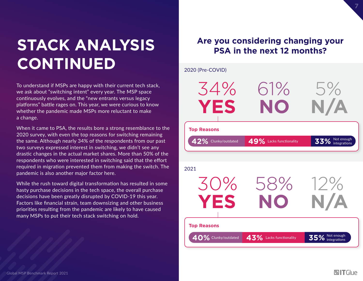# **STACK ANALYSIS CONTINUED**

To understand if MSPs are happy with their current tech stack, we ask about "switching intent" every year. The MSP space continuously evolves, and the "new entrants versus legacy platforms" battle rages on. This year, we were curious to know whether the pandemic made MSPs more reluctant to make a change.

When it came to PSA, the results bore a strong resemblance to the 2020 survey, with even the top reasons for switching remaining the same. Although nearly 34% of the respondents from our past two surveys expressed interest in switching, we didn't see any drastic changes in the actual market shares. More than 50% of the respondents who were interested in switching said that the effort required in migration prevented them from making the switch. The pandemic is also another major factor here.

While the rush toward digital transformation has resulted in some hasty purchase decisions in the tech space, the overall purchase decisions have been greatly disrupted by COVID-19 this year. Factors like financial strain, team downsizing and other business priorities resulting from the pandemic are likely to have caused many MSPs to put their tech stack switching on hold.

#### **Are you considering changing your PSA in the next 12 months?**

#### 2020 (Pre-COVID)

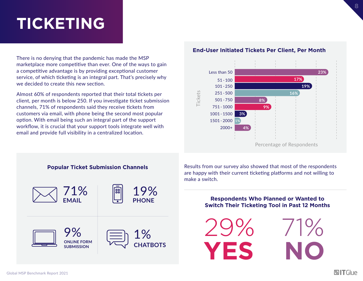#### **TICKETING**

There is no denying that the pandemic has made the MSP marketplace more competitive than ever. One of the ways to gain a competitive advantage is by providing exceptional customer service, of which ticketing is an integral part. That's precisely why we decided to create this new section.

Almost 60% of respondents reported that their total tickets per client, per month is below 250. If you investigate ticket submission channels, 71% of respondents said they receive tickets from customers via email, with phone being the second most popular option. With email being such an integral part of the support workflow, it is crucial that your support tools integrate well with email and provide full visibility in a centralized location.

#### **End-User Initiated Tickets Per Client, Per Month**





Results from our survey also showed that most of the respondents are happy with their current ticketing platforms and not willing to make a switch.

#### **Respondents Who Planned or Wanted to Switch Their Ticketing Tool in Past 12 Months**

**YES NO** 29% 71% **8**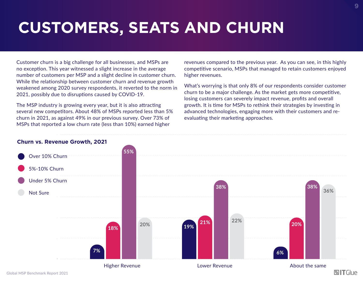# **CUSTOMERS, SEATS AND CHURN**

Customer churn is a big challenge for all businesses, and MSPs are no exception. This year witnessed a slight increase in the average number of customers per MSP and a slight decline in customer churn. While the relationship between customer churn and revenue growth weakened among 2020 survey respondents, it reverted to the norm in 2021, possibly due to disruptions caused by COVID-19.

The MSP industry is growing every year, but it is also attracting several new competitors. About 48% of MSPs reported less than 5% churn in 2021, as against 49% in our previous survey. Over 73% of MSPs that reported a low churn rate (less than 10%) earned higher

revenues compared to the previous year. As you can see, in this highly competitive scenario, MSPs that managed to retain customers enjoyed higher revenues.

What's worrying is that only 8% of our respondents consider customer churn to be a major challenge. As the market gets more competitive, losing customers can severely impact revenue, profits and overall growth. It is time for MSPs to rethink their strategies by investing in advanced technologies, engaging more with their customers and reevaluating their marketing approaches.

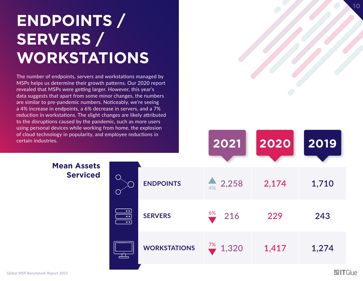# **ENDPOINTS / SERVERS / WORKSTATIONS**

The number of endpoints, servers and workstations managed by MSPs helps us determine their growth patterns. Our 2020 report revealed that MSPs were getting larger. However, this year's data suggests that apart from some minor changes, the numbers are similar to pre-pandemic numbers. Noticeably, we're seeing a 4% increase in endpoints, a 6% decrease in servers, and a 7% reduction in workstations. The slight changes are likely attributed to the disruptions caused by the pandemic, such as more users using personal devices while working from home, the explosion of cloud technology in popularity, and employee reductions in

#### **Mean Assets Serviced**

| certain industries.                   |                                                      |                     | 2021                  | 2020 2019 |       |  |
|---------------------------------------|------------------------------------------------------|---------------------|-----------------------|-----------|-------|--|
| <b>Mean Assets</b><br><b>Serviced</b> | Out<br>$\bullet$                                     | <b>ENDPOINTS</b>    | $4%$ 2,258            | 2,174     | 1,710 |  |
|                                       | $\circ \circ$<br>$\circ \circ$<br>$\overline{\cdot}$ | <b>SERVERS</b>      | 6%<br>216             | 229       | 243   |  |
|                                       | $\overline{\mathbb{L}}$                              | <b>WORKSTATIONS</b> | $\frac{7\%}{2}$ 1,320 | 1,417     | 1,274 |  |
|                                       |                                                      |                     |                       |           |       |  |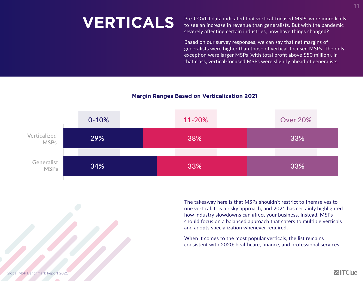**VERTICALS** Pre-COVID data indicated that vertical-focused MSPs were more likely<br>to see an increase in revenue than generalists. But with the pandemic to see an increase in revenue than generalists. But with the pandemic severely affecting certain industries, how have things changed?

> Based on our survey responses, we can say that net margins of generalists were higher than those of vertical-focused MSPs. The only exception were larger MSPs (with total profit above \$50 million). In that class, vertical-focused MSPs were slightly ahead of generalists.

#### **Margin Ranges Based on Verticalization 2021**



The takeaway here is that MSPs shouldn't restrict to themselves to one vertical. It is a risky approach, and 2021 has certainly highlighted how industry slowdowns can affect your business. Instead, MSPs should focus on a balanced approach that caters to multiple verticals and adopts specialization whenever required.

When it comes to the most popular verticals, the list remains consistent with 2020: healthcare, finance, and professional services. **11**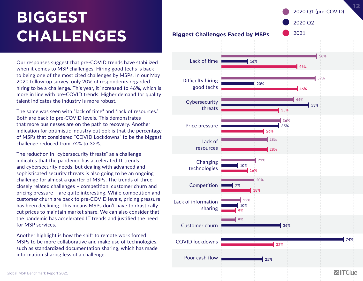# **BIGGEST CHALLENGES**

Our responses suggest that pre-COVID trends have stabilized when it comes to MSP challenges. Hiring good techs is back to being one of the most cited challenges by MSPs. In our May 2020 follow-up survey, only 20% of respondents regarded hiring to be a challenge. This year, it increased to 46%, which is more in line with pre-COVID trends. Higher demand for quality talent indicates the industry is more robust.

The same was seen with "lack of time" and "lack of resources." Both are back to pre-COVID levels. This demonstrates that more businesses are on the path to recovery. Another indication for optimistic industry outlook is that the percentage of MSPs that considered "COVID Lockdowns" to be the biggest challenge reduced from 74% to 32%.

The reduction in "cybersecurity threats" as a challenge indicates that the pandemic has accelerated IT trends and cybersecurity needs, but dealing with advanced and sophisticated security threats is also going to be an ongoing challenge for almost a quarter of MSPs. The trends of three closely related challenges – competition, customer churn and pricing pressure – are quite interesting. While competition and customer churn are back to pre-COVID levels, pricing pressure has been declining. This means MSPs don't have to drastically cut prices to maintain market share. We can also consider that the pandemic has accelerated IT trends and justified the need for MSP services.

Another highlight is how the shift to remote work forced MSPs to be more collaborative and make use of technologies, such as standardized documentation sharing, which has made information sharing less of a challenge.

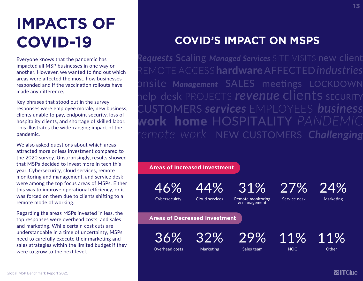# **IMPACTS OF COVID-19**

Everyone knows that the pandemic has impacted all MSP businesses in one way or another. However, we wanted to find out which areas were affected the most, how businesses responded and if the vaccination rollouts have made any difference.

Key phrases that stood out in the survey responses were employee morale, new business, clients unable to pay, endpoint security, loss of hospitality clients, and shortage of skilled labor. This illustrates the wide-ranging impact of the pandemic.

We also asked questions about which areas attracted more or less investment compared to the 2020 survey. Unsurprisingly, results showed that MSPs decided to invest more in tech this year. Cybersecurity, cloud services, remote monitoring and management, and service desk were among the top focus areas of MSPs. Either this was to improve operational efficiency, or it was forced on them due to clients shifting to a remote mode of working.

Regarding the areas MSPs invested in less, the top responses were overhead costs, and sales and marketing. While certain cost cuts are understandable in a time of uncertainty, MSPs need to carefully execute their marketing and sales strategies within the limited budget if they were to grow to the next level.

#### **COVID'S IMPACT ON MSPS**

*Requests* Scaling *Managed Services* SITE VISITS new client REMOTE ACCESShardwareAFFECTED*industries* onsite *Management* SALES meetings LOCKDOWN help desk PROJECTS *revenue* clients SECURITY CUSTOMERS *services* EMPLOYEES *business* work home HOSPITALITY *PANDE remote work* NEW CUSTOMERS *Challenging*

**Areas of Increased Investment**

46%

44%

Cybersecuirty Cloud services

Remote monitoring & management

29%

31%

27%

Service desk

11%

24% **Marketing** 

**Areas of Decreased Investment**

36%

Overhead costs 32% Marketing

Sales team

**NOC** 

**Other** 

11%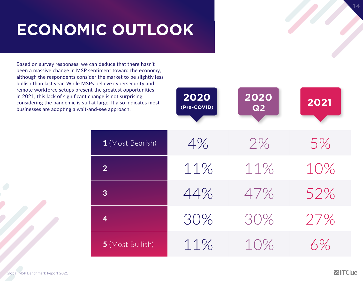# **ECONOMIC OUTLOOK**

Based on survey responses, we can deduce that there hasn't been a massive change in MSP sentiment toward the economy, although the respondents consider the market to be slightly less bullish than last year. While MSPs believe cybersecurity and remote workforce setups present the greatest opportunities in 2021, this lack of significant change is not surprising, considering the pandemic is still at businesses are adopting a wait-and

| inge is not surprising,<br>large. It also indicates most<br>d-see approach. | 2020<br>(Pre-COVID) | 2020<br>Q2 | 2021 |
|-----------------------------------------------------------------------------|---------------------|------------|------|
|                                                                             |                     |            |      |
| 1 (Most Bearish)                                                            | 4%                  | 2%         | 5%   |
| $\overline{2}$                                                              | 11%                 | 11%        | 10%  |
| $\overline{3}$                                                              | 44%                 | 47%        | 52%  |
| $\overline{\mathbf{4}}$                                                     | 30%                 | 30%        | 27%  |
| 5 (Most Bullish)                                                            | 11%                 | 10%        | 6%   |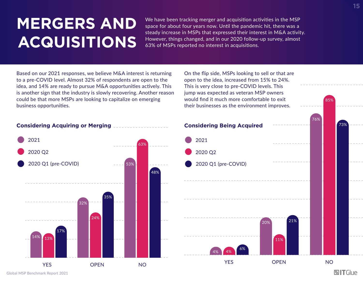# **MERGERS AND ACQUISITIONS**

We have been tracking merger and acquisition activities in the MSP space for about four years now. Until the pandemic hit, there was a steady increase in MSPs that expressed their interest in M&A activity. However, things changed, and in our 2020 follow-up survey, almost 63% of MSPs reported no interest in acquisitions.

Based on our 2021 responses, we believe M&A interest is returning to a pre-COVID level. Almost 32% of respondents are open to the idea, and 14% are ready to pursue M&A opportunities actively. This is another sign that the industry is slowly recovering. Another reason could be that more MSPs are looking to capitalize on emerging business opportunities.

On the flip side, MSPs looking to sell or that are open to the idea, increased from 15% to 24%. This is very close to pre-COVID levels. This jump was expected as veteran MSP owners would find it much more comfortable to exit their businesses as the environment improves.



76%

85%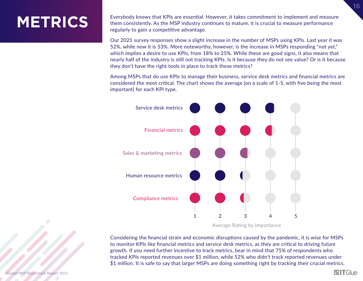### **METRICS**

Everybody knows that KPIs are essential. However, it takes commitment to implement and measure them consistently. As the MSP industry continues to mature, it is crucial to measure performance regularly to gain a competitive advantage.

Our 2021 survey responses show a slight increase in the number of MSPs using KPIs. Last year it was 52%, while now it is 53%. More noteworthy, however, is the increase in MSPs responding "not yet," which implies a desire to use KPIs, from 18% to 25%. While these are good signs, it also means that nearly half of the industry is still not tracking KPIs. Is it because they do not see value? Or is it because they don't have the right tools in place to track these metrics?

Among MSPs that do use KPIs to manage their business, service desk metrics and financial metrics are considered the most critical. The chart shows the average (on a scale of 1-5, with five being the most important) for each KPI type.



Average Rating by Importance

Considering the financial strain and economic disruptions caused by the pandemic, it is wise for MSPs to monitor KPIs like financial metrics and service desk metrics, as they are critical to driving future growth. If you need further incentive to track metrics, bear in mind that 75% of respondents who tracked KPIs reported revenues over \$1 million, while 52% who didn't track reported revenues under \$1 million. It is safe to say that larger MSPs are doing something right by tracking their crucial metrics.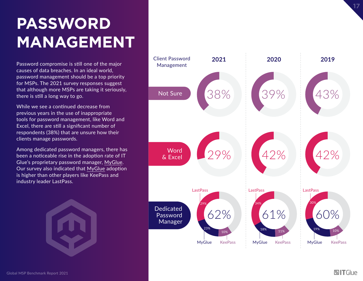# **PASSWORD MANAGEMENT**

Password compromise is still one of the major causes of data breaches. In an ideal world, password management should be a top priority for MSPs. The 2021 survey responses suggest that although more MSPs are taking it seriously, there is still a long way to go.

While we see a continued decrease from previous years in the use of inappropriate tools for password management, like Word and Excel, there are still a significant number of respondents (38%) that are unsure how their clients manage passwords.

Among dedicated password managers, there has been a noticeable rise in the adoption rate of IT Glue's proprietary password manager, [MyGlue](https://www.itglue.com/myglue/). Our survey also indicated that [MyGlue](https://www.itglue.com/myglue/) adoption is higher than other players like KeePass and industry leader LastPass.

Global MSP Benchmark Report 2021

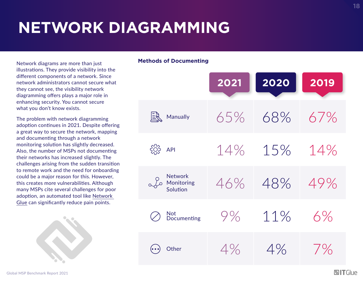# **NETWORK DIAGRAMMING**

Network diagrams are more than just illustrations. They provide visibility into the different components of a network. Since network administrators cannot secure what they cannot see, the visibility network diagramming offers plays a major role in enhancing security. You cannot secure what you don't know exists.

The problem with network diagramming adoption continues in 2021. Despite offering a great way to secure the network, mapping and documenting through a network monitoring solution has slightly decreased. Also, the number of MSPs not documenting their networks has increased slightly. The challenges arising from the sudden transition to remote work and the need for onboarding could be a major reason for this. However, this creates more vulnerabilities. Although many MSPs cite several challenges for poor adoption, an automated tool like [Network](https://www.itglue.com/networkglue/)  [Glue](https://www.itglue.com/networkglue/) can significantly reduce pain points.



#### **Methods of Documenting**

|                                                  | 2021 | 2020 | 2019  |
|--------------------------------------------------|------|------|-------|
| Manually                                         | 65%  | 68%  | 67%   |
| $\begin{matrix} 2 & 1 \\ 1 & 1 \end{matrix}$ API | 14%  | 15%  | 14%   |
| <b>Network</b><br>Monitoring<br>Solution         | 46%  | 48%  | 49%   |
| Not<br>Documenting                               | 9%   | 11%  | 6%    |
| Other                                            | 4%   | 4%   | $7\%$ |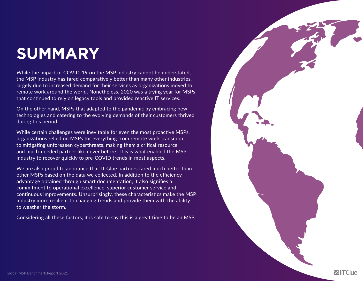### **SUMMARY**

While the impact of COVID-19 on the MSP industry cannot be understated, the MSP industry has fared comparatively better than many other industries, largely due to increased demand for their services as organizations moved to remote work around the world. Nonetheless, 2020 was a trying year for MSPs that continued to rely on legacy tools and provided reactive IT services.

On the other hand, MSPs that adapted to the pandemic by embracing new technologies and catering to the evolving demands of their customers thrived during this period.

While certain challenges were inevitable for even the most proactive MSPs, organizations relied on MSPs for everything from remote work transition to mitigating unforeseen cyberthreats, making them a critical resource and much-needed partner like never before. This is what enabled the MSP industry to recover quickly to pre-COVID trends in most aspects.

We are also proud to announce that IT Glue partners fared much better than other MSPs based on the data we collected. In addition to the efficiency advantage obtained through smart documentation, it also signifies a commitment to operational excellence, superior customer service and continuous improvements. Unsurprisingly, these characteristics make the MSP industry more resilient to changing trends and provide them with the ability to weather the storm.

Considering all these factors, it is safe to say this is a great time to be an MSP.